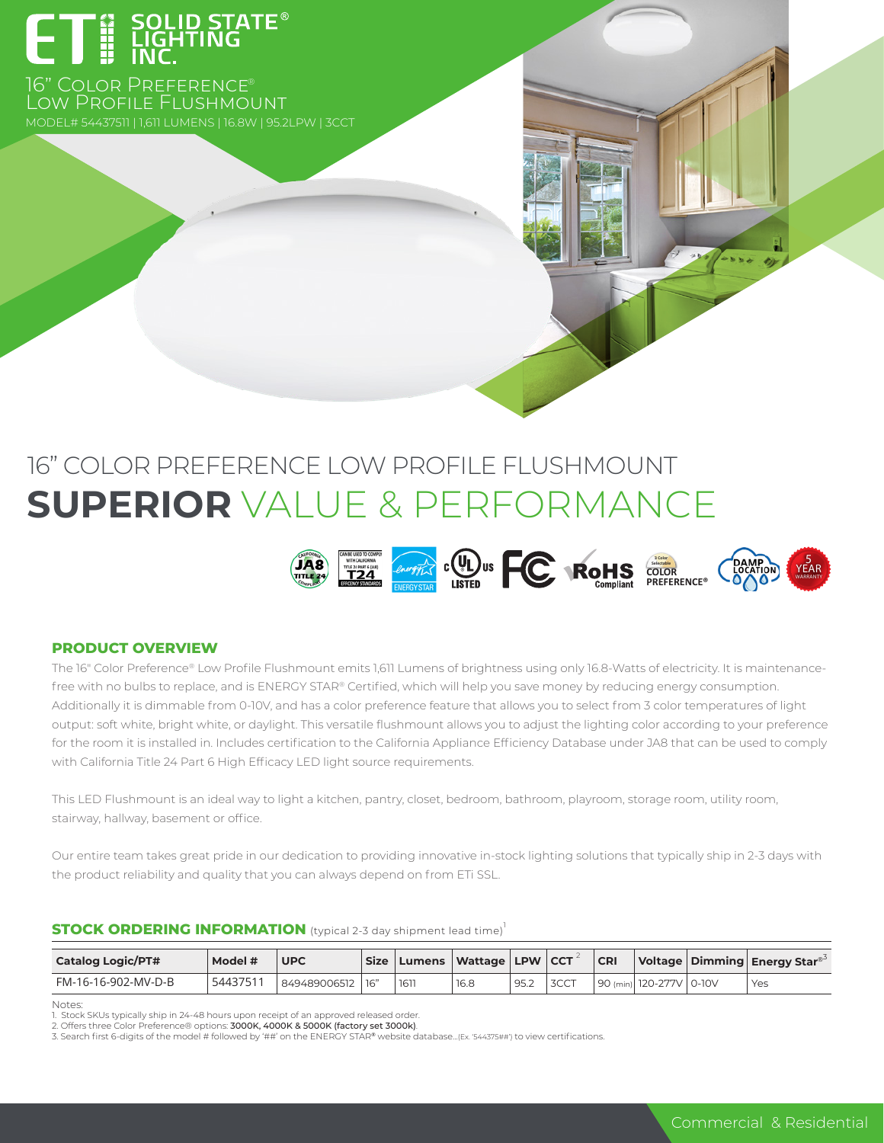

16" COLOR PREFERENCE® Low Profile Flushmount

# 16" COLOR PREFERENCE LOW PROFILE FLUSHMOUNT **SUPERIOR** VALUE & PERFORMANCE



#### **PRODUCT OVERVIEW**

The 16" Color Preference® Low Profile Flushmount emits 1,611 Lumens of brightness using only 16.8-Watts of electricity. It is maintenancefree with no bulbs to replace, and is ENERGY STAR® Certified, which will help you save money by reducing energy consumption. Additionally it is dimmable from 0-10V, and has a color preference feature that allows you to select from 3 color temperatures of light output: soft white, bright white, or daylight. This versatile flushmount allows you to adjust the lighting color according to your preference for the room it is installed in. Includes certification to the California Appliance Efficiency Database under JA8 that can be used to comply with California Title 24 Part 6 High Efficacy LED light source requirements.

This LED Flushmount is an ideal way to light a kitchen, pantry, closet, bedroom, bathroom, playroom, storage room, utility room, stairway, hallway, basement or office.

Our entire team takes great pride in our dedication to providing innovative in-stock lighting solutions that typically ship in 2-3 days with the product reliability and quality that you can always depend on from ETi SSL.

#### **STOCK ORDERING INFORMATION** (typical 2-3 day shipment lead time)<sup>1</sup>

| <b>Catalog Logic/PT#</b> | Model #  | <b>UPC</b>   |     |      | Size   Lumens   Wattage   LPW   CCT |      |      | CR |                            | Voltage   Dimming   Energy Star <sup>®</sup> |
|--------------------------|----------|--------------|-----|------|-------------------------------------|------|------|----|----------------------------|----------------------------------------------|
| FM-16-16-902-MV-D-B      | 54437511 | 849489006512 | 16" | 1611 | 16.8                                | 95.2 | 3CCT |    | 90 (min)  120-277V   0-10V | Yes                                          |

**Notes** 

1. Stock SKUs typically ship in 24-48 hours upon receipt of an approved released order.

3. Search first 6-digits of the model # followed by '##' on the ENERGY STAR® website database...(Ex. '544375##') to view certifications.

<sup>2.</sup> Offers three Color Preference® options: 3000K, 4000K & 5000K (factory set 3000k).